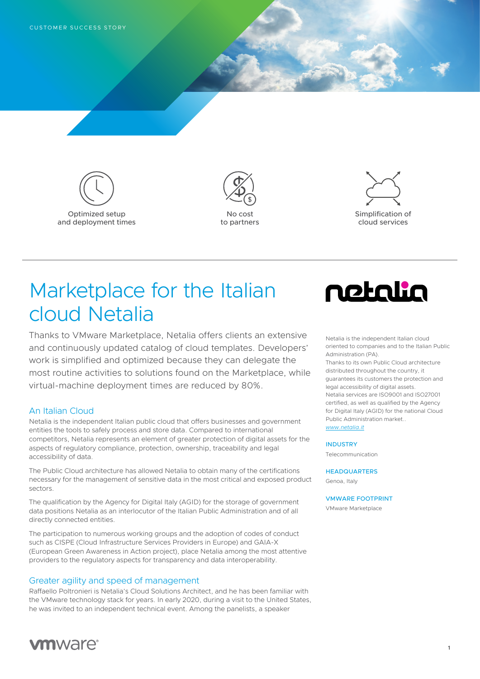





# Marketplace for the Italian cloud Netalia

Thanks to VMware Marketplace, Netalia offers clients an extensive and continuously updated catalog of cloud templates. Developers' work is simplified and optimized because they can delegate the most routine activities to solutions found on the Marketplace, while virtual-machine deployment times are reduced by 80%.

## **An Italian Cloud**

Netalia is the independent Italian public cloud that offers businesses and government entities the tools to safely process and store data. Compared to international competitors, Netalia represents an element of greater protection of digital assets for the aspects of regulatory compliance, protection, ownership, traceability and legal accessibility of data.

The Public Cloud architecture has allowed Netalia to obtain many of the certifications necessary for the management of sensitive data in the most critical and exposed product sectors.

The qualification by the Agency for Digital Italy (AGID) for the storage of government data positions Netalia as an interlocutor of the Italian Public Administration and of all directly connected entities.

The participation to numerous working groups and the adoption of codes of conduct such as CISPE (Cloud Infrastructure Services Providers in Europe) and GAIA-X (European Green Awareness in Action project), place Netalia among the most attentive providers to the regulatory aspects for transparency and data interoperability.

## Greater agility and speed of management

Raffaello Poltronieri is Netalia's Cloud Solutions Architect, and he has been familiar with the VMware technology stack for years. In early 2020, during a visit to the United States, he was invited to an independent technical event. Among the panelists, a speaker



Netalia is the independent Italian cloud oriented to companies and to the Italian Public Administration (PA).

Thanks to its own Public Cloud architecture distributed throughout the country, it guarantees its customers the protection and legal accessibility of digital assets. Netalia services are ISO9001 and ISO27001 certified, as well as qualified by the Agency for Digital Italy (AGID) for the national Cloud Public Administration market.. *[www.netalia.it](https://www.netalia.it/)*

**1**

#### INDUSTRY

Telecommunication

**HEADQUARTERS** 

Genoa, Italy

VMWARE FOOTPRINT

VMware Marketplace